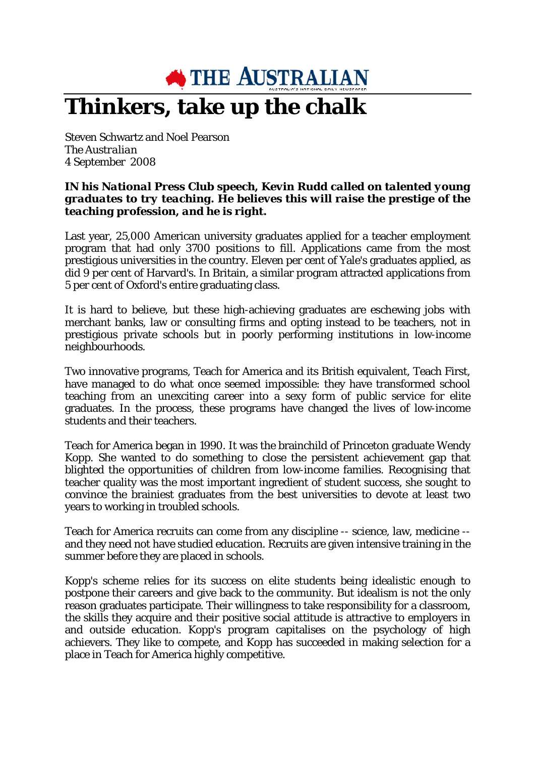**SETTLE AUSTRALIAN** 

## **Thinkers, take up the chalk**

Steven Schwartz and Noel Pearson *The Australian* 4 September 2008

## *IN his National Press Club speech, Kevin Rudd called on talented young graduates to try teaching. He believes this will raise the prestige of the teaching profession, and he is right.*

Last year, 25,000 American university graduates applied for a teacher employment program that had only 3700 positions to fill. Applications came from the most prestigious universities in the country. Eleven per cent of Yale's graduates applied, as did 9 per cent of Harvard's. In Britain, a similar program attracted applications from 5 per cent of Oxford's entire graduating class.

It is hard to believe, but these high-achieving graduates are eschewing jobs with merchant banks, law or consulting firms and opting instead to be teachers, not in prestigious private schools but in poorly performing institutions in low-income neighbourhoods.

Two innovative programs, Teach for America and its British equivalent, Teach First, have managed to do what once seemed impossible: they have transformed school teaching from an unexciting career into a sexy form of public service for elite graduates. In the process, these programs have changed the lives of low-income students and their teachers.

Teach for America began in 1990. It was the brainchild of Princeton graduate Wendy Kopp. She wanted to do something to close the persistent achievement gap that blighted the opportunities of children from low-income families. Recognising that teacher quality was the most important ingredient of student success, she sought to convince the brainiest graduates from the best universities to devote at least two years to working in troubled schools.

Teach for America recruits can come from any discipline -- science, law, medicine - and they need not have studied education. Recruits are given intensive training in the summer before they are placed in schools.

Kopp's scheme relies for its success on elite students being idealistic enough to postpone their careers and give back to the community. But idealism is not the only reason graduates participate. Their willingness to take responsibility for a classroom, the skills they acquire and their positive social attitude is attractive to employers in and outside education. Kopp's program capitalises on the psychology of high achievers. They like to compete, and Kopp has succeeded in making selection for a place in Teach for America highly competitive.